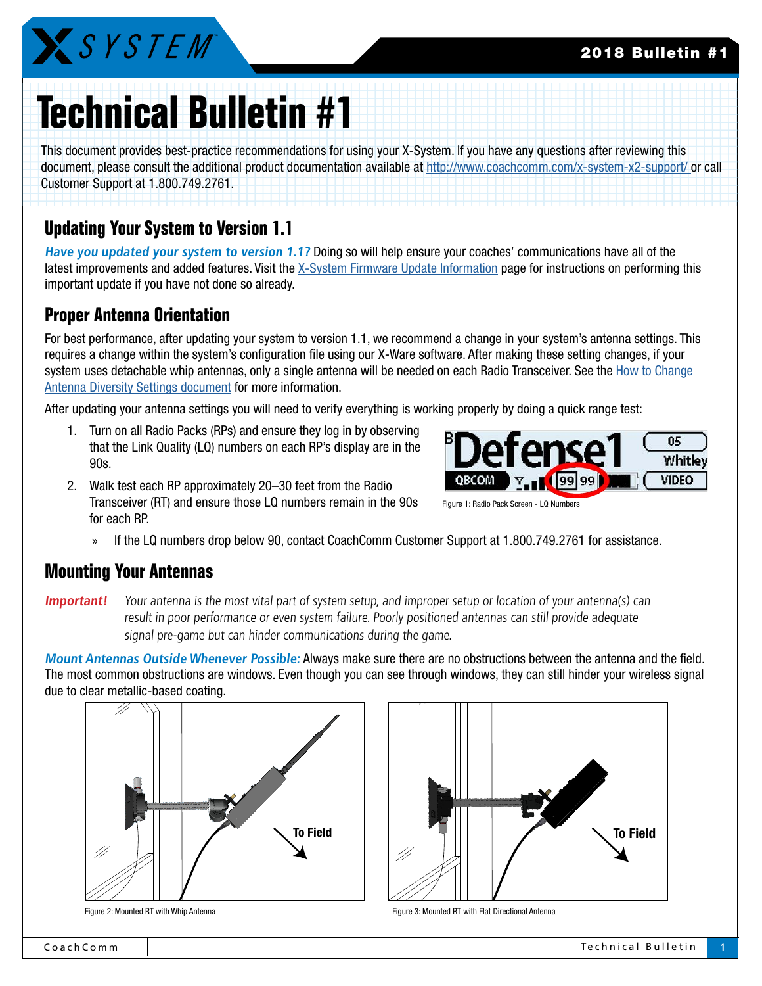

## **Technical Bulletin #1**

This document provides best-practice recommendations for using your X-System. If you have any questions after reviewing this document, please consult the additional product documentation available at ht[tp://www.coachcomm.com/x-system-x2-support/](http://www.coachcomm.com/x-system-x2-support/) or call Customer Support at 1.800.749.2761.

## **Updating Your System to Version 1.1**

**Have you updated your system to version 1.1?** Doing so will help ensure your coaches' communications have all of the latest improvements and added features. Visit the [X-System Firmware Update Information](http://www.coachcomm.com/xsystem2%20update/) page for instructions on performing this important update if you have not done so already.

## **Proper Antenna Orientation**

For best performance, after updating your system to version 1.1, we recommend a change in your system's antenna settings. This requires a change within the system's configuration file using our X-Ware software. After making these setting changes, if your system uses detachable whip antennas, only a single antenna will be needed on each Radio Transceiver. See the [How to Change](http://www.coachcomm.com/pdfs/x-system/X2_ANTENNA-DIVERSITY-CHANGES_D0000461_A.PDF)  [Antenna Diversity Settings document](http://www.coachcomm.com/pdfs/x-system/X2_ANTENNA-DIVERSITY-CHANGES_D0000461_A.PDF) for more information.

After updating your antenna settings you will need to verify everything is working properly by doing a quick range test:

- 1. Turn on all Radio Packs (RPs) and ensure they log in by observing that the Link Quality (LQ) numbers on each RP's display are in the 90s.
- 05 Whitle **VIDEO**  $\sqrt{9999}$ QBCOM Figure 1: Radio Pack Screen - LQ Numbers
- 2. Walk test each RP approximately 20–30 feet from the Radio Transceiver (RT) and ensure those LQ numbers remain in the 90s for each RP.
	- » If the LQ numbers drop below 90, contact CoachComm Customer Support at 1.800.749.2761 for assistance.

## **Mounting Your Antennas**

**Important!** Your antenna is the most vital part of system setup, and improper setup or location of your antenna(s) can result in poor performance or even system failure. Poorly positioned antennas can still provide adequate signal pre-game but can hinder communications during the game.

**Mount Antennas Outside Whenever Possible:** Always make sure there are no obstructions between the antenna and the field. The most common obstructions are windows. Even though you can see through windows, they can still hinder your wireless signal due to clear metallic-based coating.







Figure 2: Mounted RT with Whip Antenna Figure 3: Mounted RT with Flat Directional Antenna